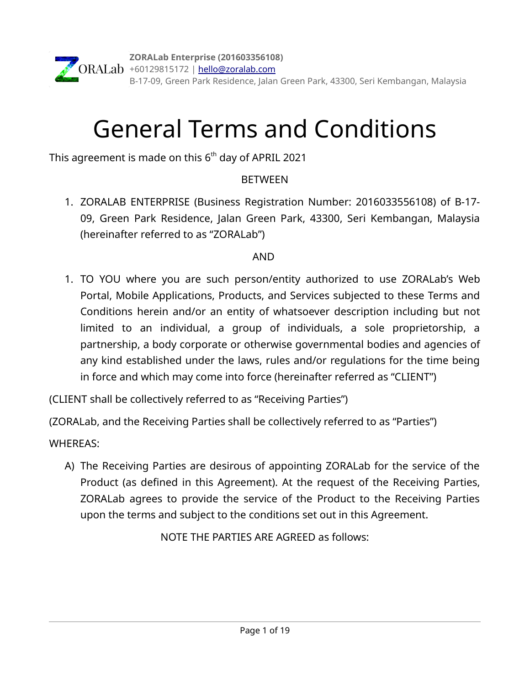# General Terms and Conditions

This agreement is made on this  $6^{\text{th}}$  day of APRIL 2021

# **BETWEEN**

1. ZORALAB ENTERPRISE (Business Registration Number: 2016033556108) of B-17- 09, Green Park Residence, Jalan Green Park, 43300, Seri Kembangan, Malaysia (hereinafter referred to as "ZORALab")

# AND

- 1. TO YOU where you are such person/entity authorized to use ZORALab's Web Portal, Mobile Applications, Products, and Services subjected to these Terms and Conditions herein and/or an entity of whatsoever description including but not limited to an individual, a group of individuals, a sole proprietorship, a partnership, a body corporate or otherwise governmental bodies and agencies of any kind established under the laws, rules and/or regulations for the time being in force and which may come into force (hereinafter referred as "CLIENT")
- (CLIENT shall be collectively referred to as "Receiving Parties")
- (ZORALab, and the Receiving Parties shall be collectively referred to as "Parties")

# WHEREAS:

A) The Receiving Parties are desirous of appointing ZORALab for the service of the Product (as defined in this Agreement). At the request of the Receiving Parties, ZORALab agrees to provide the service of the Product to the Receiving Parties upon the terms and subject to the conditions set out in this Agreement.

NOTE THE PARTIES ARE AGREED as follows: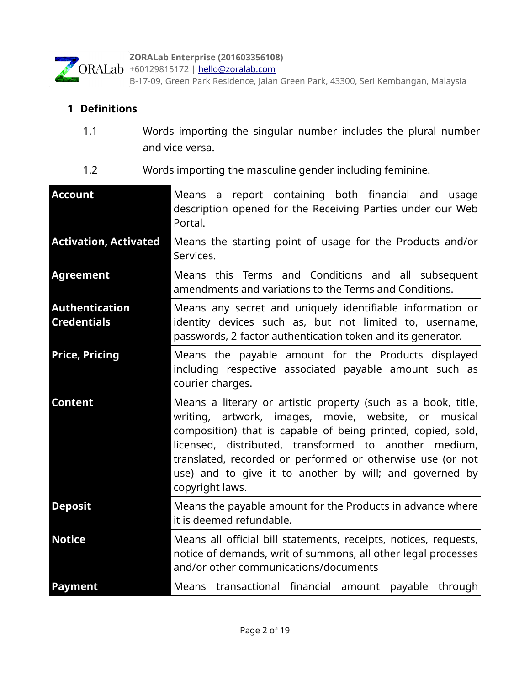

**ZORALab Enterprise (201603356108)**

+60129815172 | <u>hello@zoralab.com</u> B-17-09, Green Park Residence, Jalan Green Park, 43300, Seri Kembangan, Malaysia

# **1 Definitions**

- 1.1 Words importing the singular number includes the plural number and vice versa.
- 1.2 Words importing the masculine gender including feminine.

| <b>Account</b>                              | Means a report containing both financial and usage<br>description opened for the Receiving Parties under our Web<br>Portal.                                                                                                                                                                                                                                                                |
|---------------------------------------------|--------------------------------------------------------------------------------------------------------------------------------------------------------------------------------------------------------------------------------------------------------------------------------------------------------------------------------------------------------------------------------------------|
| <b>Activation, Activated</b>                | Means the starting point of usage for the Products and/or<br>Services.                                                                                                                                                                                                                                                                                                                     |
| <b>Agreement</b>                            | Means this Terms and Conditions and all subsequent<br>amendments and variations to the Terms and Conditions.                                                                                                                                                                                                                                                                               |
| <b>Authentication</b><br><b>Credentials</b> | Means any secret and uniquely identifiable information or<br>identity devices such as, but not limited to, username,<br>passwords, 2-factor authentication token and its generator.                                                                                                                                                                                                        |
| <b>Price, Pricing</b>                       | Means the payable amount for the Products displayed<br>including respective associated payable amount such as<br>courier charges.                                                                                                                                                                                                                                                          |
| <b>Content</b>                              | Means a literary or artistic property (such as a book, title,<br>writing, artwork, images, movie, website, or musical<br>composition) that is capable of being printed, copied, sold,<br>licensed, distributed, transformed to another medium,<br>translated, recorded or performed or otherwise use (or not<br>use) and to give it to another by will; and governed by<br>copyright laws. |
| <b>Deposit</b>                              | Means the payable amount for the Products in advance where<br>it is deemed refundable.                                                                                                                                                                                                                                                                                                     |
| <b>Notice</b>                               | Means all official bill statements, receipts, notices, requests,<br>notice of demands, writ of summons, all other legal processes<br>and/or other communications/documents                                                                                                                                                                                                                 |
| <b>Payment</b>                              | transactional financial amount payable<br>Means<br>through                                                                                                                                                                                                                                                                                                                                 |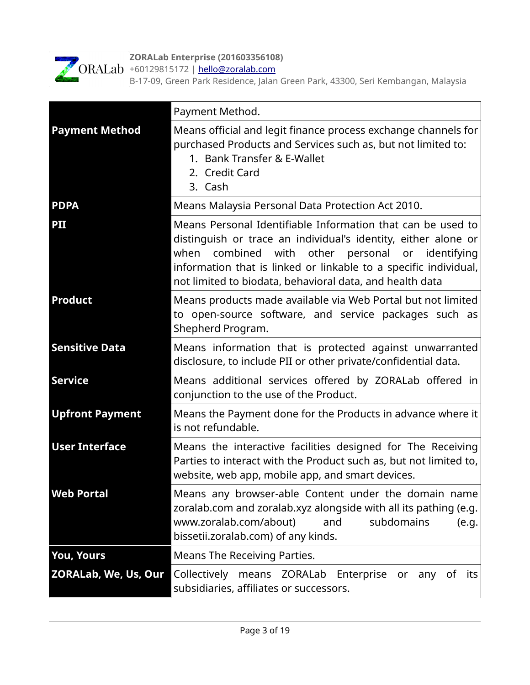

**ZORALab Enterprise (201603356108)**

+60129815172 | <u>hello@zoralab.com</u>

B-17-09, Green Park Residence, Jalan Green Park, 43300, Seri Kembangan, Malaysia

|                        | Payment Method.                                                                                                                                                                                                                                                                                                         |
|------------------------|-------------------------------------------------------------------------------------------------------------------------------------------------------------------------------------------------------------------------------------------------------------------------------------------------------------------------|
| <b>Payment Method</b>  | Means official and legit finance process exchange channels for<br>purchased Products and Services such as, but not limited to:<br>1. Bank Transfer & E-Wallet<br>2. Credit Card<br>3. Cash                                                                                                                              |
| <b>PDPA</b>            | Means Malaysia Personal Data Protection Act 2010.                                                                                                                                                                                                                                                                       |
| PII                    | Means Personal Identifiable Information that can be used to<br>distinguish or trace an individual's identity, either alone or<br>with other personal or identifying<br>when<br>combined<br>information that is linked or linkable to a specific individual,<br>not limited to biodata, behavioral data, and health data |
| <b>Product</b>         | Means products made available via Web Portal but not limited<br>to open-source software, and service packages such as<br>Shepherd Program.                                                                                                                                                                              |
| <b>Sensitive Data</b>  | Means information that is protected against unwarranted<br>disclosure, to include PII or other private/confidential data.                                                                                                                                                                                               |
| <b>Service</b>         | Means additional services offered by ZORALab offered in<br>conjunction to the use of the Product.                                                                                                                                                                                                                       |
| <b>Upfront Payment</b> | Means the Payment done for the Products in advance where it<br>is not refundable.                                                                                                                                                                                                                                       |
| <b>User Interface</b>  | Means the interactive facilities designed for The Receiving<br>Parties to interact with the Product such as, but not limited to,<br>website, web app, mobile app, and smart devices.                                                                                                                                    |
| <b>Web Portal</b>      | Means any browser-able Content under the domain name<br>zoralab.com and zoralab.xyz alongside with all its pathing (e.g.<br>www.zoralab.com/about)<br>subdomains<br>and<br>(e.g.<br>bissetii.zoralab.com) of any kinds.                                                                                                 |
| <b>You, Yours</b>      | Means The Receiving Parties.                                                                                                                                                                                                                                                                                            |
| ZORALab, We, Us, Our   | Collectively means ZORALab<br>Enterprise or<br>any<br>of its<br>subsidiaries, affiliates or successors.                                                                                                                                                                                                                 |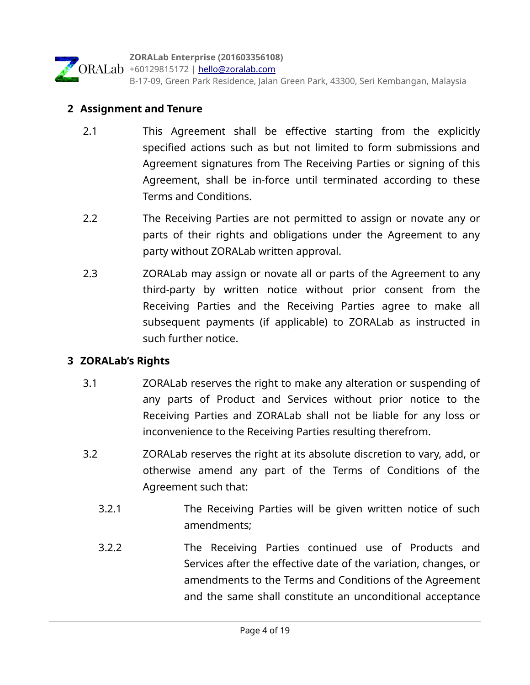

#### **2 Assignment and Tenure**

- 2.1 This Agreement shall be effective starting from the explicitly specified actions such as but not limited to form submissions and Agreement signatures from The Receiving Parties or signing of this Agreement, shall be in-force until terminated according to these Terms and Conditions.
- 2.2 The Receiving Parties are not permitted to assign or novate any or parts of their rights and obligations under the Agreement to any party without ZORALab written approval.
- 2.3 **EXALAM** 20RALab may assign or novate all or parts of the Agreement to any third-party by written notice without prior consent from the Receiving Parties and the Receiving Parties agree to make all subsequent payments (if applicable) to ZORALab as instructed in such further notice.

# **3 ZORALab's Rights**

- 3.1 ZORALab reserves the right to make any alteration or suspending of any parts of Product and Services without prior notice to the Receiving Parties and ZORALab shall not be liable for any loss or inconvenience to the Receiving Parties resulting therefrom.
- 3.2 ZORALab reserves the right at its absolute discretion to vary, add, or otherwise amend any part of the Terms of Conditions of the Agreement such that:
	- 3.2.1 The Receiving Parties will be given written notice of such amendments;
	- 3.2.2 The Receiving Parties continued use of Products and Services after the effective date of the variation, changes, or amendments to the Terms and Conditions of the Agreement and the same shall constitute an unconditional acceptance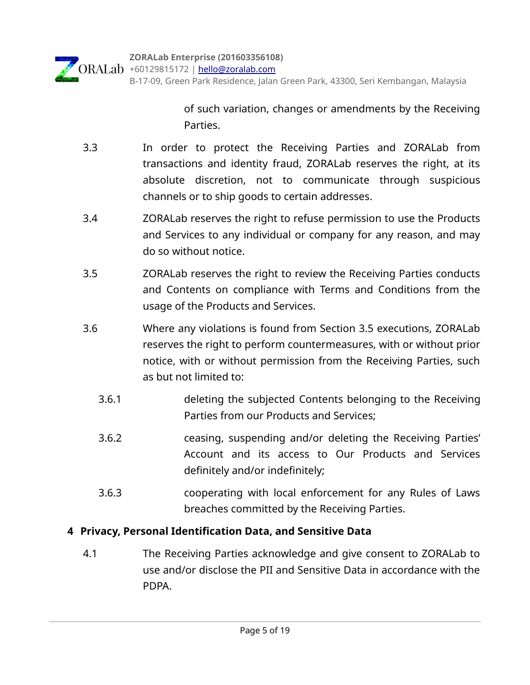

of such variation, changes or amendments by the Receiving Parties.

- 3.3 In order to protect the Receiving Parties and ZORALab from transactions and identity fraud, ZORALab reserves the right, at its absolute discretion, not to communicate through suspicious channels or to ship goods to certain addresses.
- 3.4 ZORALab reserves the right to refuse permission to use the Products and Services to any individual or company for any reason, and may do so without notice.
- 3.5 ZORALab reserves the right to review the Receiving Parties conducts and Contents on compliance with Terms and Conditions from the usage of the Products and Services.
- 3.6 Where any violations is found from Section 3.5 executions, ZORALab reserves the right to perform countermeasures, with or without prior notice, with or without permission from the Receiving Parties, such as but not limited to:
	- 3.6.1 deleting the subjected Contents belonging to the Receiving Parties from our Products and Services;
	- 3.6.2 ceasing, suspending and/or deleting the Receiving Parties' Account and its access to Our Products and Services definitely and/or indefinitely;
	- 3.6.3 cooperating with local enforcement for any Rules of Laws breaches committed by the Receiving Parties.

# **4 Privacy, Personal Identification Data, and Sensitive Data**

 4.1 The Receiving Parties acknowledge and give consent to ZORALab to use and/or disclose the PII and Sensitive Data in accordance with the PDPA.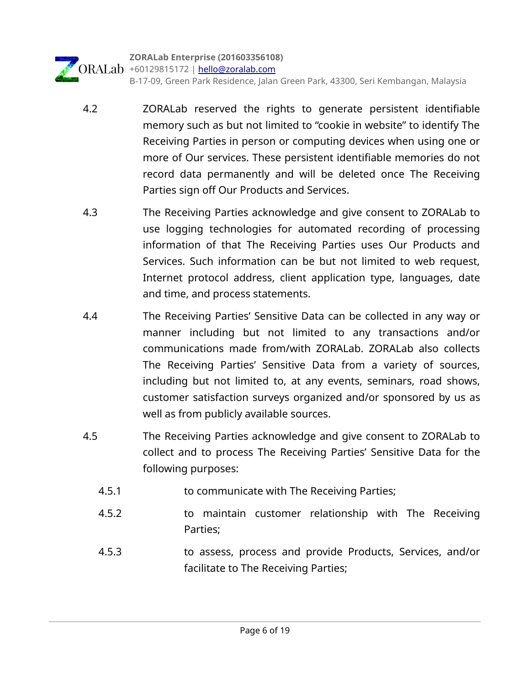

- 4.2 ZORALab reserved the rights to generate persistent identifiable memory such as but not limited to "cookie in website" to identify The Receiving Parties in person or computing devices when using one or more of Our services. These persistent identifiable memories do not record data permanently and will be deleted once The Receiving Parties sign off Our Products and Services.
- 4.3 The Receiving Parties acknowledge and give consent to ZORALab to use logging technologies for automated recording of processing information of that The Receiving Parties uses Our Products and Services. Such information can be but not limited to web request, Internet protocol address, client application type, languages, date and time, and process statements.
- 4.4 The Receiving Parties' Sensitive Data can be collected in any way or manner including but not limited to any transactions and/or communications made from/with ZORALab. ZORALab also collects The Receiving Parties' Sensitive Data from a variety of sources, including but not limited to, at any events, seminars, road shows, customer satisfaction surveys organized and/or sponsored by us as well as from publicly available sources.
- 4.5 The Receiving Parties acknowledge and give consent to ZORALab to collect and to process The Receiving Parties' Sensitive Data for the following purposes:
	- 4.5.1 to communicate with The Receiving Parties;
	- 4.5.2 to maintain customer relationship with The Receiving Parties;
	- 4.5.3 to assess, process and provide Products, Services, and/or facilitate to The Receiving Parties;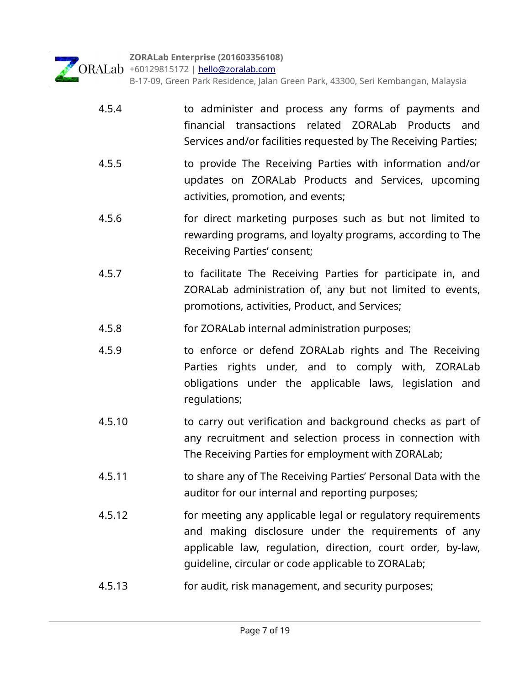

ORALab +60129815172 | [hello@zoralab.com](mailto:hello@zoralab.com)

B-17-09, Green Park Residence, Jalan Green Park, 43300, Seri Kembangan, Malaysia

- 4.5.4 to administer and process any forms of payments and financial transactions related ZORALab Products and Services and/or facilities requested by The Receiving Parties;
- 4.5.5 to provide The Receiving Parties with information and/or updates on ZORALab Products and Services, upcoming activities, promotion, and events;
- 4.5.6 for direct marketing purposes such as but not limited to rewarding programs, and loyalty programs, according to The Receiving Parties' consent;
- 4.5.7 to facilitate The Receiving Parties for participate in, and ZORALab administration of, any but not limited to events, promotions, activities, Product, and Services;
- 4.5.8 for ZORALab internal administration purposes;
- 4.5.9 to enforce or defend ZORALab rights and The Receiving Parties rights under, and to comply with, ZORALab obligations under the applicable laws, legislation and regulations;
- 4.5.10 to carry out verification and background checks as part of any recruitment and selection process in connection with The Receiving Parties for employment with ZORALab;
- 4.5.11 to share any of The Receiving Parties' Personal Data with the auditor for our internal and reporting purposes;
- 4.5.12 for meeting any applicable legal or regulatory requirements and making disclosure under the requirements of any applicable law, regulation, direction, court order, by-law, guideline, circular or code applicable to ZORALab;
- 4.5.13 for audit, risk management, and security purposes;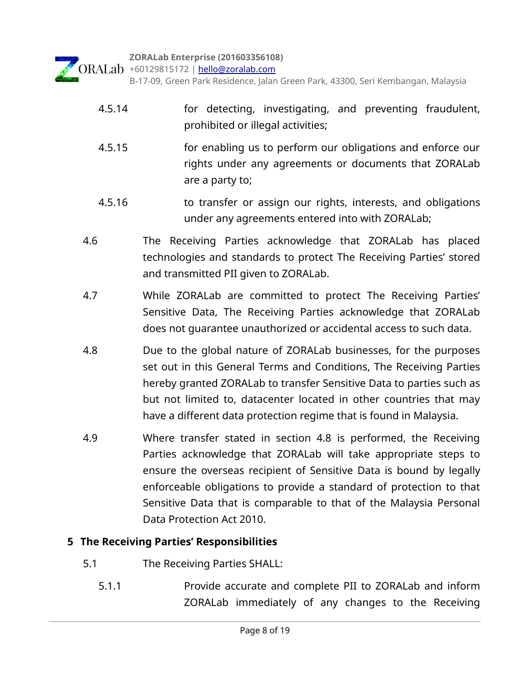

- 4.5.14 for detecting, investigating, and preventing fraudulent, prohibited or illegal activities;
- 4.5.15 for enabling us to perform our obligations and enforce our rights under any agreements or documents that ZORALab are a party to;
- 4.5.16 to transfer or assign our rights, interests, and obligations under any agreements entered into with ZORALab;
- 4.6 The Receiving Parties acknowledge that ZORALab has placed technologies and standards to protect The Receiving Parties' stored and transmitted PII given to ZORALab.
- 4.7 While ZORALab are committed to protect The Receiving Parties' Sensitive Data, The Receiving Parties acknowledge that ZORALab does not guarantee unauthorized or accidental access to such data.
- 4.8 Due to the global nature of ZORALab businesses, for the purposes set out in this General Terms and Conditions, The Receiving Parties hereby granted ZORALab to transfer Sensitive Data to parties such as but not limited to, datacenter located in other countries that may have a different data protection regime that is found in Malaysia.
- 4.9 Where transfer stated in section 4.8 is performed, the Receiving Parties acknowledge that ZORALab will take appropriate steps to ensure the overseas recipient of Sensitive Data is bound by legally enforceable obligations to provide a standard of protection to that Sensitive Data that is comparable to that of the Malaysia Personal Data Protection Act 2010.

# **5 The Receiving Parties' Responsibilities**

- 5.1 The Receiving Parties SHALL:
	- 5.1.1 Provide accurate and complete PII to ZORALab and inform ZORALab immediately of any changes to the Receiving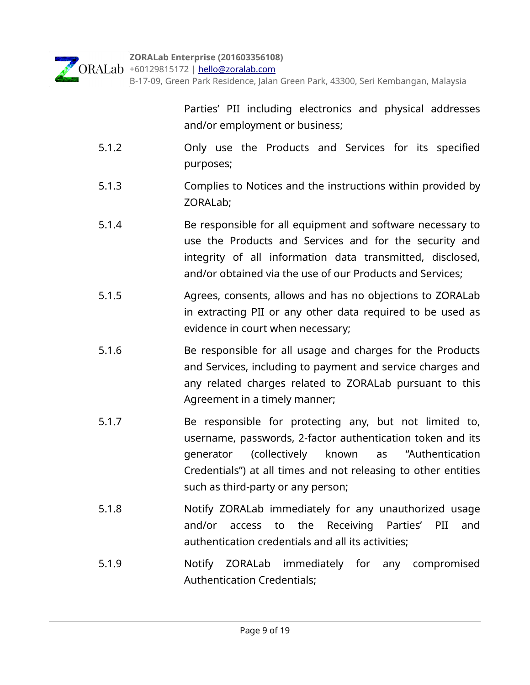

B-17-09, Green Park Residence, Jalan Green Park, 43300, Seri Kembangan, Malaysia

Parties' PII including electronics and physical addresses and/or employment or business;

- 5.1.2 Only use the Products and Services for its specified purposes;
- 5.1.3 Complies to Notices and the instructions within provided by ZORALab;
- 5.1.4 Be responsible for all equipment and software necessary to use the Products and Services and for the security and integrity of all information data transmitted, disclosed, and/or obtained via the use of our Products and Services;
- 5.1.5 Agrees, consents, allows and has no objections to ZORALab in extracting PII or any other data required to be used as evidence in court when necessary;
- 5.1.6 Be responsible for all usage and charges for the Products and Services, including to payment and service charges and any related charges related to ZORALab pursuant to this Agreement in a timely manner;
- 5.1.7 Be responsible for protecting any, but not limited to, username, passwords, 2-factor authentication token and its generator (collectively known as "Authentication Credentials") at all times and not releasing to other entities such as third-party or any person;
- 5.1.8 Notify ZORALab immediately for any unauthorized usage and/or access to the Receiving Parties' PII and authentication credentials and all its activities;
- 5.1.9 Notify ZORALab immediately for any compromised Authentication Credentials;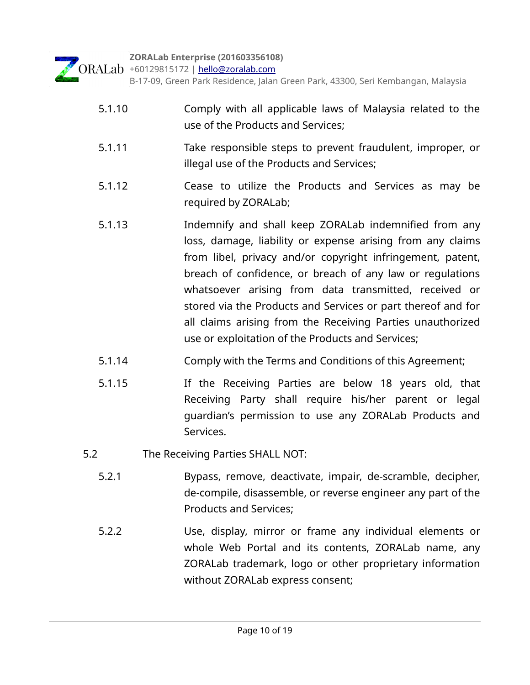**ZORALab Enterprise (201603356108)** ORALab +60129815172 | [hello@zoralab.com](mailto:hello@zoralab.com) B-17-09, Green Park Residence, Jalan Green Park, 43300, Seri Kembangan, Malaysia

- 5.1.10 Comply with all applicable laws of Malaysia related to the use of the Products and Services;
- 5.1.11 Take responsible steps to prevent fraudulent, improper, or illegal use of the Products and Services;
- 5.1.12 Cease to utilize the Products and Services as may be required by ZORALab;
- 5.1.13 Indemnify and shall keep ZORALab indemnified from any loss, damage, liability or expense arising from any claims from libel, privacy and/or copyright infringement, patent, breach of confidence, or breach of any law or regulations whatsoever arising from data transmitted, received or stored via the Products and Services or part thereof and for all claims arising from the Receiving Parties unauthorized use or exploitation of the Products and Services;
- 5.1.14 Comply with the Terms and Conditions of this Agreement;
- 5.1.15 If the Receiving Parties are below 18 years old, that Receiving Party shall require his/her parent or legal guardian's permission to use any ZORALab Products and Services.
- 5.2 The Receiving Parties SHALL NOT:
	- 5.2.1 Bypass, remove, deactivate, impair, de-scramble, decipher, de-compile, disassemble, or reverse engineer any part of the Products and Services;
	- 5.2.2 Use, display, mirror or frame any individual elements or whole Web Portal and its contents, ZORALab name, any ZORALab trademark, logo or other proprietary information without ZORALab express consent;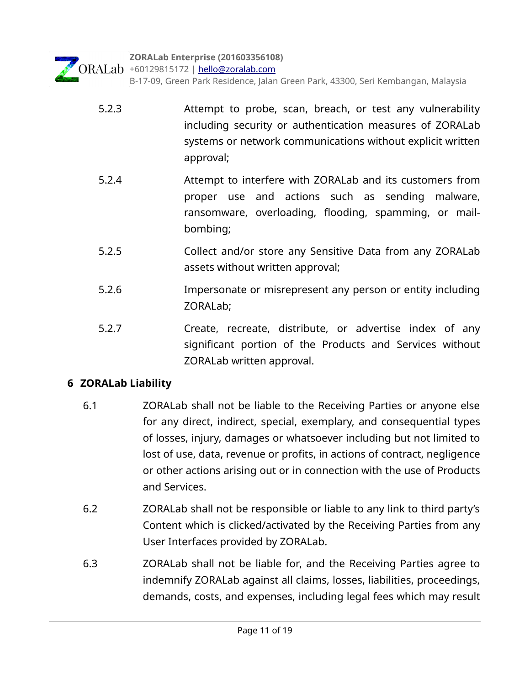**ZORALab Enterprise (201603356108)** ORALab +60129815172 | [hello@zoralab.com](mailto:hello@zoralab.com) B-17-09, Green Park Residence, Jalan Green Park, 43300, Seri Kembangan, Malaysia

- 5.2.3 Attempt to probe, scan, breach, or test any vulnerability including security or authentication measures of ZORALab systems or network communications without explicit written approval;
- 5.2.4 Attempt to interfere with ZORALab and its customers from proper use and actions such as sending malware, ransomware, overloading, flooding, spamming, or mailbombing;
- 5.2.5 Collect and/or store any Sensitive Data from any ZORALab assets without written approval;
- 5.2.6 Impersonate or misrepresent any person or entity including ZORALab;
- 5.2.7 Create, recreate, distribute, or advertise index of any significant portion of the Products and Services without ZORALab written approval.

# **6 ZORALab Liability**

- 6.1 ZORALab shall not be liable to the Receiving Parties or anyone else for any direct, indirect, special, exemplary, and consequential types of losses, injury, damages or whatsoever including but not limited to lost of use, data, revenue or profits, in actions of contract, negligence or other actions arising out or in connection with the use of Products and Services.
- 6.2 ZORALab shall not be responsible or liable to any link to third party's Content which is clicked/activated by the Receiving Parties from any User Interfaces provided by ZORALab.
- 6.3 ZORALab shall not be liable for, and the Receiving Parties agree to indemnify ZORALab against all claims, losses, liabilities, proceedings, demands, costs, and expenses, including legal fees which may result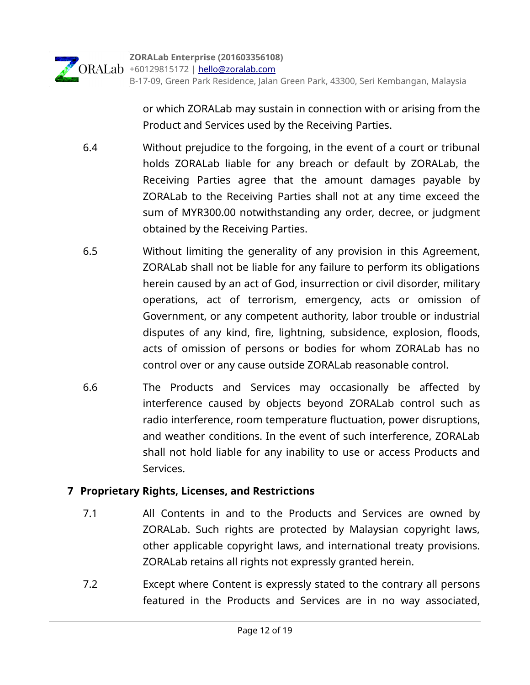or which ZORALab may sustain in connection with or arising from the Product and Services used by the Receiving Parties.

- 6.4 Without prejudice to the forgoing, in the event of a court or tribunal holds ZORALab liable for any breach or default by ZORALab, the Receiving Parties agree that the amount damages payable by ZORALab to the Receiving Parties shall not at any time exceed the sum of MYR300.00 notwithstanding any order, decree, or judgment obtained by the Receiving Parties.
- 6.5 Without limiting the generality of any provision in this Agreement, ZORALab shall not be liable for any failure to perform its obligations herein caused by an act of God, insurrection or civil disorder, military operations, act of terrorism, emergency, acts or omission of Government, or any competent authority, labor trouble or industrial disputes of any kind, fire, lightning, subsidence, explosion, floods, acts of omission of persons or bodies for whom ZORALab has no control over or any cause outside ZORALab reasonable control.
- 6.6 The Products and Services may occasionally be affected by interference caused by objects beyond ZORALab control such as radio interference, room temperature fluctuation, power disruptions, and weather conditions. In the event of such interference, ZORALab shall not hold liable for any inability to use or access Products and Services.

# **7 Proprietary Rights, Licenses, and Restrictions**

- 7.1 All Contents in and to the Products and Services are owned by ZORALab. Such rights are protected by Malaysian copyright laws, other applicable copyright laws, and international treaty provisions. ZORALab retains all rights not expressly granted herein.
- 7.2 Except where Content is expressly stated to the contrary all persons featured in the Products and Services are in no way associated,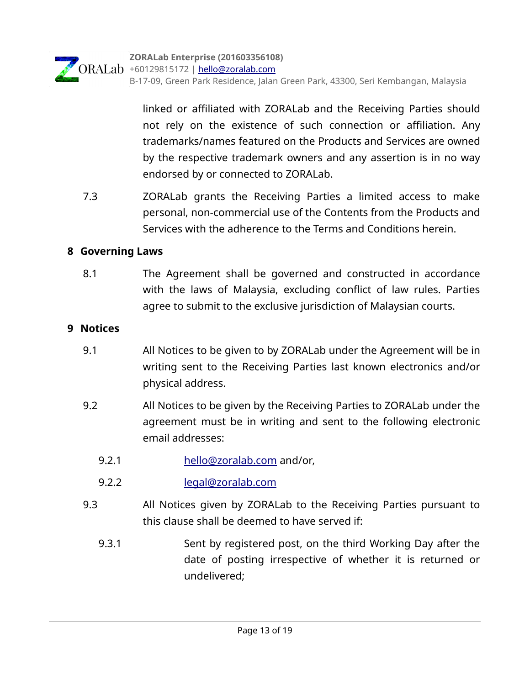

linked or affiliated with ZORALab and the Receiving Parties should not rely on the existence of such connection or affiliation. Any trademarks/names featured on the Products and Services are owned by the respective trademark owners and any assertion is in no way endorsed by or connected to ZORALab.

 7.3 ZORALab grants the Receiving Parties a limited access to make personal, non-commercial use of the Contents from the Products and Services with the adherence to the Terms and Conditions herein.

# **8 Governing Laws**

 8.1 The Agreement shall be governed and constructed in accordance with the laws of Malaysia, excluding conflict of law rules. Parties agree to submit to the exclusive jurisdiction of Malaysian courts.

#### **9 Notices**

- 9.1 All Notices to be given to by ZORALab under the Agreement will be in writing sent to the Receiving Parties last known electronics and/or physical address.
- 9.2 All Notices to be given by the Receiving Parties to ZORALab under the agreement must be in writing and sent to the following electronic email addresses:
	- 9.2.1 [hello@zoralab.com](mailto:hello@zoralab.com) and/or,
	- 9.2.2 [legal@zoralab.com](mailto:legal@zoralab.com)
- 9.3 All Notices given by ZORALab to the Receiving Parties pursuant to this clause shall be deemed to have served if:
	- 9.3.1 Sent by registered post, on the third Working Day after the date of posting irrespective of whether it is returned or undelivered;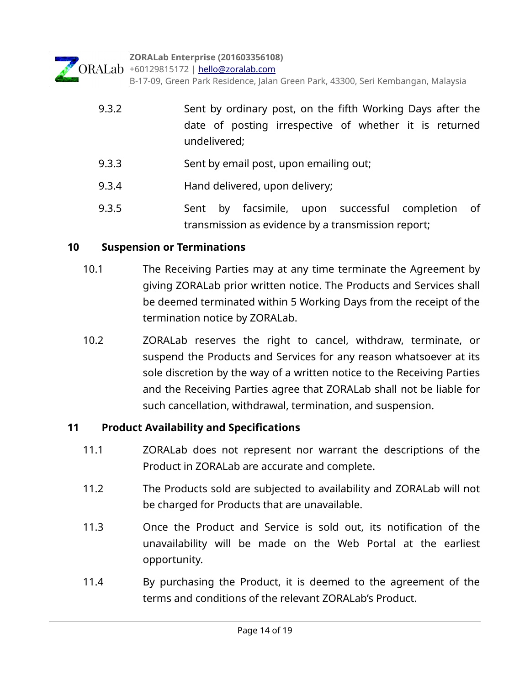

| 9.3.2 | Sent by ordinary post, on the fifth Working Days after the<br>date of posting irrespective of whether it is returned<br>undelivered; |
|-------|--------------------------------------------------------------------------------------------------------------------------------------|
| 9.3.3 | Sent by email post, upon emailing out;                                                                                               |
| 9.3.4 | Hand delivered, upon delivery;                                                                                                       |
|       |                                                                                                                                      |

9.3.5 Sent by facsimile, upon successful completion of transmission as evidence by a transmission report;

# **10 Suspension or Terminations**

- 10.1 The Receiving Parties may at any time terminate the Agreement by giving ZORALab prior written notice. The Products and Services shall be deemed terminated within 5 Working Days from the receipt of the termination notice by ZORALab.
- 10.2 ZORALab reserves the right to cancel, withdraw, terminate, or suspend the Products and Services for any reason whatsoever at its sole discretion by the way of a written notice to the Receiving Parties and the Receiving Parties agree that ZORALab shall not be liable for such cancellation, withdrawal, termination, and suspension.

# **11 Product Availability and Specifications**

- 11.1 ZORALab does not represent nor warrant the descriptions of the Product in ZORALab are accurate and complete.
- 11.2 The Products sold are subjected to availability and ZORALab will not be charged for Products that are unavailable.
- 11.3 Once the Product and Service is sold out, its notification of the unavailability will be made on the Web Portal at the earliest opportunity.
- 11.4 By purchasing the Product, it is deemed to the agreement of the terms and conditions of the relevant ZORALab's Product.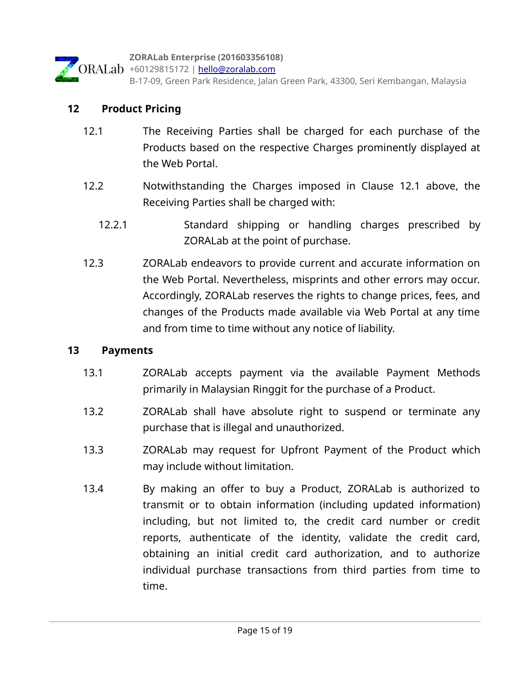

# **12 Product Pricing**

- 12.1 The Receiving Parties shall be charged for each purchase of the Products based on the respective Charges prominently displayed at the Web Portal.
- 12.2 Notwithstanding the Charges imposed in Clause 12.1 above, the Receiving Parties shall be charged with:
	- 12.2.1 Standard shipping or handling charges prescribed by ZORALab at the point of purchase.
- 12.3 ZORALab endeavors to provide current and accurate information on the Web Portal. Nevertheless, misprints and other errors may occur. Accordingly, ZORALab reserves the rights to change prices, fees, and changes of the Products made available via Web Portal at any time and from time to time without any notice of liability.

#### **13 Payments**

- 13.1 ZORALab accepts payment via the available Payment Methods primarily in Malaysian Ringgit for the purchase of a Product.
- 13.2 **ZORALab shall have absolute right to suspend or terminate any** purchase that is illegal and unauthorized.
- 13.3 ZORALab may request for Upfront Payment of the Product which may include without limitation.
- 13.4 By making an offer to buy a Product, ZORALab is authorized to transmit or to obtain information (including updated information) including, but not limited to, the credit card number or credit reports, authenticate of the identity, validate the credit card, obtaining an initial credit card authorization, and to authorize individual purchase transactions from third parties from time to time.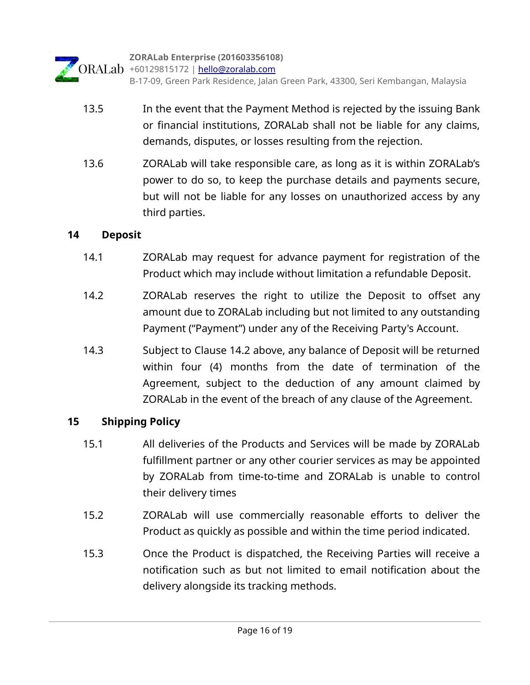

- 13.5 In the event that the Payment Method is rejected by the issuing Bank or financial institutions, ZORALab shall not be liable for any claims, demands, disputes, or losses resulting from the rejection.
- 13.6 ZORALab will take responsible care, as long as it is within ZORALab's power to do so, to keep the purchase details and payments secure, but will not be liable for any losses on unauthorized access by any third parties.

# **14 Deposit**

- 14.1 ZORALab may request for advance payment for registration of the Product which may include without limitation a refundable Deposit.
- 14.2 ZORALab reserves the right to utilize the Deposit to offset any amount due to ZORALab including but not limited to any outstanding Payment ("Payment") under any of the Receiving Party's Account.
- 14.3 Subject to Clause 14.2 above, any balance of Deposit will be returned within four (4) months from the date of termination of the Agreement, subject to the deduction of any amount claimed by ZORALab in the event of the breach of any clause of the Agreement.

# **15 Shipping Policy**

- 15.1 All deliveries of the Products and Services will be made by ZORALab fulfillment partner or any other courier services as may be appointed by ZORALab from time-to-time and ZORALab is unable to control their delivery times
- 15.2 ZORALab will use commercially reasonable efforts to deliver the Product as quickly as possible and within the time period indicated.
- 15.3 Once the Product is dispatched, the Receiving Parties will receive a notification such as but not limited to email notification about the delivery alongside its tracking methods.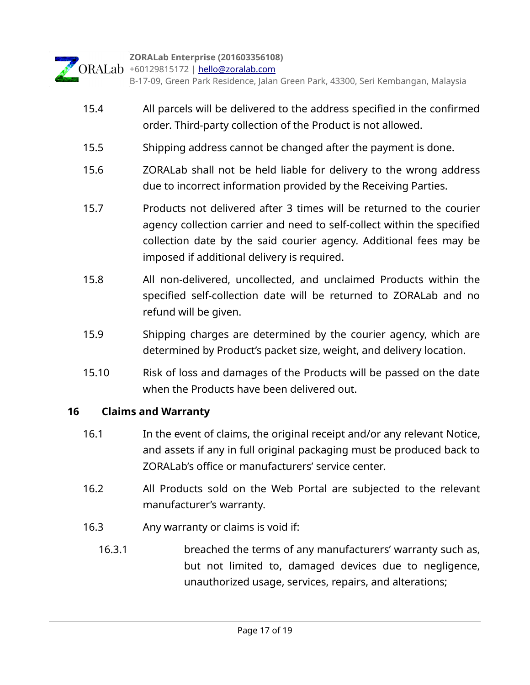

- 15.4 All parcels will be delivered to the address specified in the confirmed order. Third-party collection of the Product is not allowed.
- 15.5 Shipping address cannot be changed after the payment is done.
- 15.6 ZORALab shall not be held liable for delivery to the wrong address due to incorrect information provided by the Receiving Parties.
- 15.7 Products not delivered after 3 times will be returned to the courier agency collection carrier and need to self-collect within the specified collection date by the said courier agency. Additional fees may be imposed if additional delivery is required.
- 15.8 All non-delivered, uncollected, and unclaimed Products within the specified self-collection date will be returned to ZORALab and no refund will be given.
- 15.9 Shipping charges are determined by the courier agency, which are determined by Product's packet size, weight, and delivery location.
- 15.10 Risk of loss and damages of the Products will be passed on the date when the Products have been delivered out.

# **16 Claims and Warranty**

- 16.1 In the event of claims, the original receipt and/or any relevant Notice, and assets if any in full original packaging must be produced back to ZORALab's office or manufacturers' service center.
- 16.2 All Products sold on the Web Portal are subjected to the relevant manufacturer's warranty.
- 16.3 Any warranty or claims is void if:
	- 16.3.1 breached the terms of any manufacturers' warranty such as, but not limited to, damaged devices due to negligence, unauthorized usage, services, repairs, and alterations;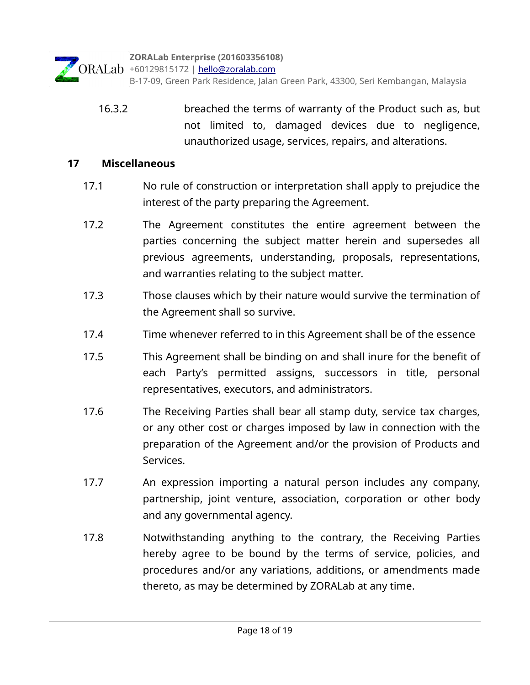**ZORALab Enterprise (201603356108)**

ORALab +60129815172 | [hello@zoralab.com](mailto:hello@zoralab.com) B-17-09, Green Park Residence, Jalan Green Park, 43300, Seri Kembangan, Malaysia

 16.3.2 breached the terms of warranty of the Product such as, but not limited to, damaged devices due to negligence, unauthorized usage, services, repairs, and alterations.

#### **17 Miscellaneous**

- 17.1 No rule of construction or interpretation shall apply to prejudice the interest of the party preparing the Agreement.
- 17.2 The Agreement constitutes the entire agreement between the parties concerning the subject matter herein and supersedes all previous agreements, understanding, proposals, representations, and warranties relating to the subject matter.
- 17.3 Those clauses which by their nature would survive the termination of the Agreement shall so survive.
- 17.4 Time whenever referred to in this Agreement shall be of the essence
- 17.5 This Agreement shall be binding on and shall inure for the benefit of each Party's permitted assigns, successors in title, personal representatives, executors, and administrators.
- 17.6 The Receiving Parties shall bear all stamp duty, service tax charges, or any other cost or charges imposed by law in connection with the preparation of the Agreement and/or the provision of Products and Services.
- 17.7 An expression importing a natural person includes any company, partnership, joint venture, association, corporation or other body and any governmental agency.
- 17.8 Notwithstanding anything to the contrary, the Receiving Parties hereby agree to be bound by the terms of service, policies, and procedures and/or any variations, additions, or amendments made thereto, as may be determined by ZORALab at any time.